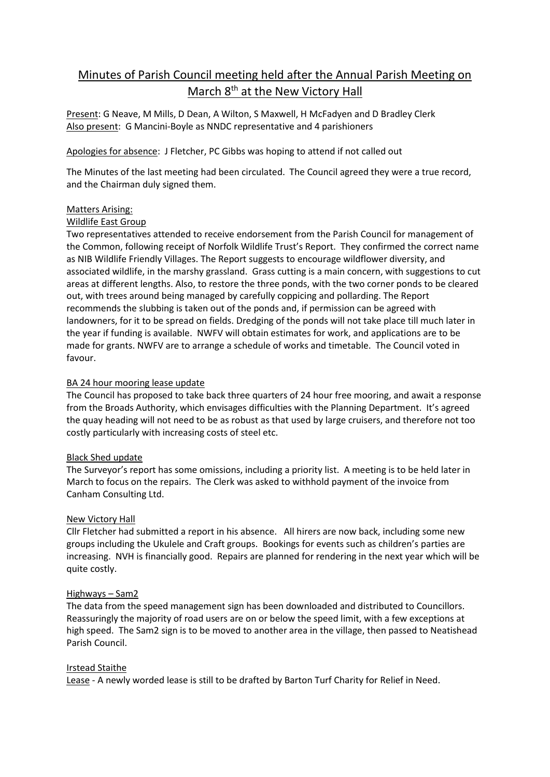# Minutes of Parish Council meeting held after the Annual Parish Meeting on March 8<sup>th</sup> at the New Victory Hall

Present: G Neave, M Mills, D Dean, A Wilton, S Maxwell, H McFadyen and D Bradley Clerk Also present: G Mancini-Boyle as NNDC representative and 4 parishioners

## Apologies for absence: J Fletcher, PC Gibbs was hoping to attend if not called out

The Minutes of the last meeting had been circulated. The Council agreed they were a true record, and the Chairman duly signed them.

## Matters Arising:

#### Wildlife East Group

Two representatives attended to receive endorsement from the Parish Council for management of the Common, following receipt of Norfolk Wildlife Trust's Report. They confirmed the correct name as NIB Wildlife Friendly Villages. The Report suggests to encourage wildflower diversity, and associated wildlife, in the marshy grassland. Grass cutting is a main concern, with suggestions to cut areas at different lengths. Also, to restore the three ponds, with the two corner ponds to be cleared out, with trees around being managed by carefully coppicing and pollarding. The Report recommends the slubbing is taken out of the ponds and, if permission can be agreed with landowners, for it to be spread on fields. Dredging of the ponds will not take place till much later in the year if funding is available. NWFV will obtain estimates for work, and applications are to be made for grants. NWFV are to arrange a schedule of works and timetable. The Council voted in favour.

#### BA 24 hour mooring lease update

The Council has proposed to take back three quarters of 24 hour free mooring, and await a response from the Broads Authority, which envisages difficulties with the Planning Department. It's agreed the quay heading will not need to be as robust as that used by large cruisers, and therefore not too costly particularly with increasing costs of steel etc.

#### **Black Shed update**

The Surveyor's report has some omissions, including a priority list. A meeting is to be held later in March to focus on the repairs. The Clerk was asked to withhold payment of the invoice from Canham Consulting Ltd.

#### New Victory Hall

Cllr Fletcher had submitted a report in his absence. All hirers are now back, including some new groups including the Ukulele and Craft groups. Bookings for events such as children's parties are increasing. NVH is financially good. Repairs are planned for rendering in the next year which will be quite costly.

#### Highways – Sam2

The data from the speed management sign has been downloaded and distributed to Councillors. Reassuringly the majority of road users are on or below the speed limit, with a few exceptions at high speed. The Sam2 sign is to be moved to another area in the village, then passed to Neatishead Parish Council.

#### Irstead Staithe

Lease - A newly worded lease is still to be drafted by Barton Turf Charity for Relief in Need.